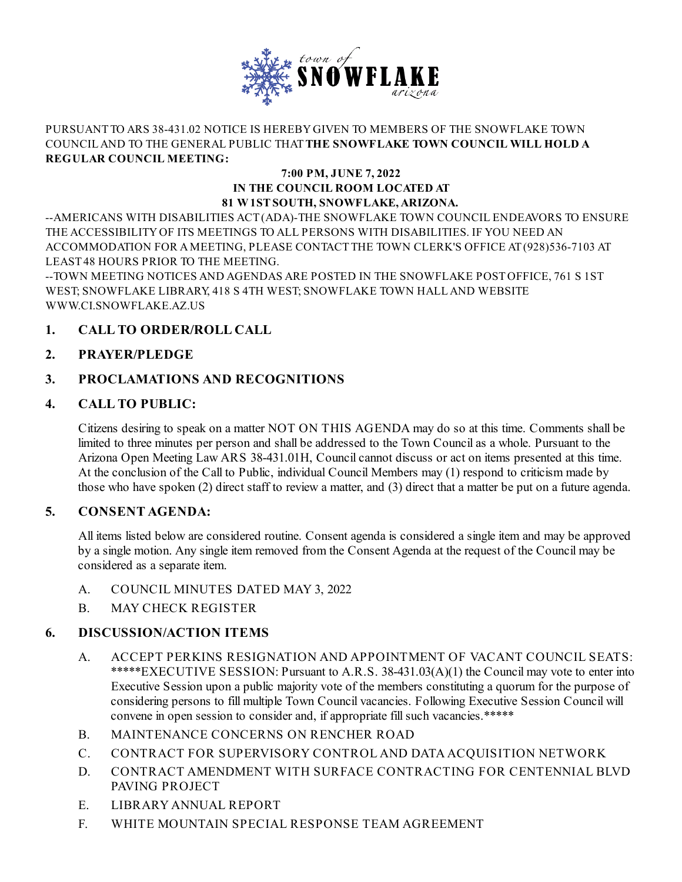

#### PURSUANT TO ARS 38-431.02 NOTICE IS HEREBYGIVEN TO MEMBERS OF THE SNOWFLAKE TOWN COUNCILAND TO THE GENERAL PUBLIC THAT**THE SNOWFLAKE TOWN COUNCIL WILL HOLD A REGULAR COUNCIL MEETING:**

#### **7:00 PM, JUNE 7, 2022 IN THE COUNCIL ROOM LOCATED AT 81 W1STSOUTH, SNOWFLAKE,ARIZONA.**

--AMERICANS WITH DISABILITIES ACT(ADA)-THE SNOWFLAKE TOWN COUNCIL ENDEAVORS TO ENSURE THE ACCESSIBILITYOF ITS MEETINGS TO ALL PERSONS WITH DISABILITIES. IF YOU NEED AN ACCOMMODATION FOR AMEETING, PLEASE CONTACT THE TOWN CLERK'S OFFICE AT(928)536-7103 AT LEAST48 HOURS PRIOR TO THE MEETING.

--TOWN MEETING NOTICES AND AGENDAS ARE POSTED IN THE SNOWFLAKE POSTOFFICE, 761 S 1ST WEST; SNOWFLAKE LIBRARY, 418 S 4TH WEST; SNOWFLAKE TOWN HALLAND WEBSITE WWW.CI.SNOWFLAKE.AZ.US

## **1. CALL TO ORDER/ROLL CALL**

## **2. PRAYER/PLEDGE**

## **3. PROCLAMATIONS AND RECOGNITIONS**

## **4. CALL TO PUBLIC:**

Citizens desiring to speak on a matter NOT ON THIS AGENDA may do so at this time. Comments shall be limited to three minutes per person and shall be addressed to the Town Councilas a whole. Pursuant to the Arizona Open Meeting Law ARS 38-431.01H, Council cannot discuss or act on items presented at this time. At the conclusion of the Call to Public, individual Council Members may (1) respond to criticism made by those who have spoken (2) direct staff to review a matter, and (3) direct that a matter be put on a future agenda.

## **5. CONSENT AGENDA:**

All items listed below are considered routine. Consent agenda is considered a single item and may be approved by a single motion. Any single item removed from the Consent Agenda at the request of the Council may be considered as a separate item.

- A. COUNCIL MINUTES DATED MAY 3, 2022
- B. MAY CHECK REGISTER

## **6. DISCUSSION/ACTION ITEMS**

- A. ACCEPT PERKINS RESIGNATION AND APPOINTMENT OF VACANT COUNCIL SEATS: \*\*\*\*\*EXECUTIVE SESSION: Pursuant to A.R.S. 38-431.03(A)(1) the Council may vote to enter into Executive Session upon a public majority vote of the members constituting a quorum for the purpose of considering persons to fill multiple Town Council vacancies. Following Executive Session Council will convene in open session to consider and, if appropriate fill such vacancies.\*\*\*\*\*
- B. MAINTENANCE CONCERNS ON RENCHER ROAD
- C. CONTRACT FOR SUPERVISORY CONTROL AND DATA ACQUISITION NETWORK
- D. CONTRACT AMENDMENT WITH SURFACE CONTRACTING FOR CENTENNIAL BLVD PAVING PROJECT
- E. LIBRARY ANNUAL REPORT
- F. WHITE MOUNTAIN SPECIAL RESPONSE TEAM AGREEMENT